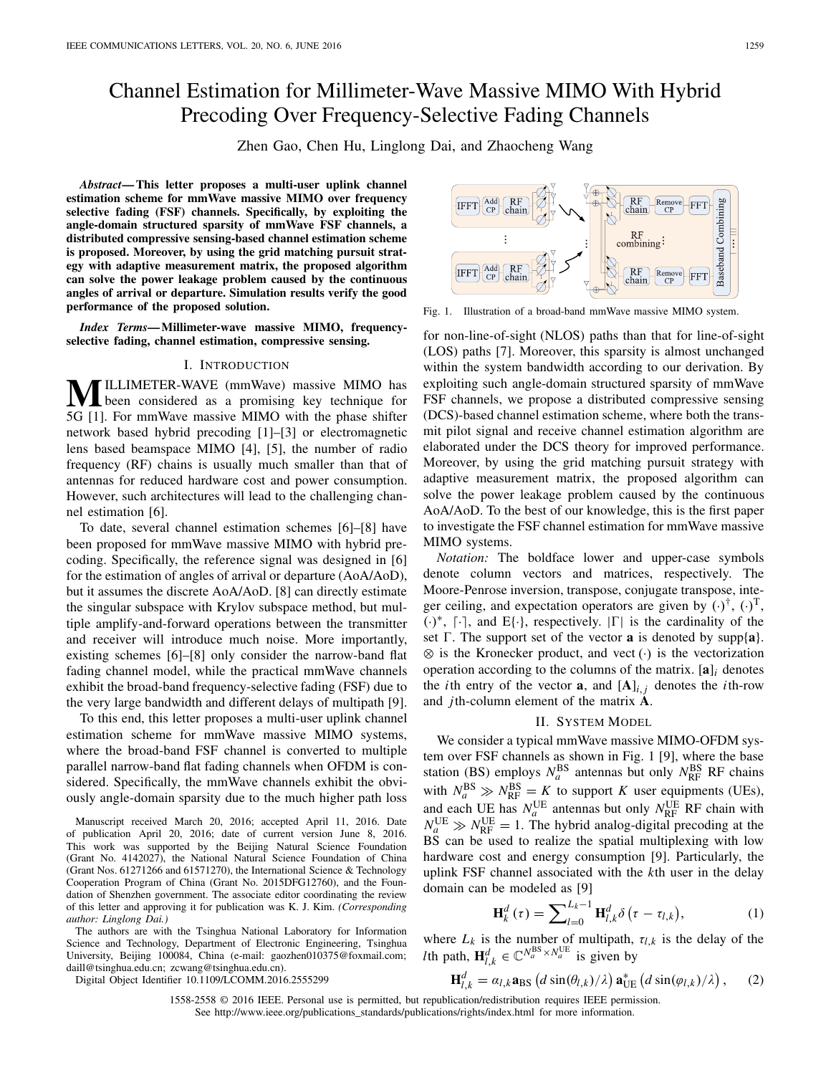# Channel Estimation for Millimeter-Wave Massive MIMO With Hybrid Precoding Over Frequency-Selective Fading Channels

Zhen Gao, Chen Hu, Linglong Dai, and Zhaocheng Wang

*Abstract***— This letter proposes a multi-user uplink channel estimation scheme for mmWave massive MIMO over frequency selective fading (FSF) channels. Specifically, by exploiting the angle-domain structured sparsity of mmWave FSF channels, a distributed compressive sensing-based channel estimation scheme is proposed. Moreover, by using the grid matching pursuit strategy with adaptive measurement matrix, the proposed algorithm can solve the power leakage problem caused by the continuous angles of arrival or departure. Simulation results verify the good performance of the proposed solution.**

*Index Terms***— Millimeter-wave massive MIMO, frequencyselective fading, channel estimation, compressive sensing.**

## I. INTRODUCTION

**MILLIMETER-WAVE** (mmWave) massive MIMO has<br>been considered as a promising key technique for 5G [1]. For mmWave massive MIMO with the phase shifter network based hybrid precoding [1]–[3] or electromagnetic lens based beamspace MIMO [4], [5], the number of radio frequency (RF) chains is usually much smaller than that of antennas for reduced hardware cost and power consumption. However, such architectures will lead to the challenging channel estimation [6].

To date, several channel estimation schemes [6]–[8] have been proposed for mmWave massive MIMO with hybrid precoding. Specifically, the reference signal was designed in [6] for the estimation of angles of arrival or departure (AoA/AoD), but it assumes the discrete AoA/AoD. [8] can directly estimate the singular subspace with Krylov subspace method, but multiple amplify-and-forward operations between the transmitter and receiver will introduce much noise. More importantly, existing schemes [6]–[8] only consider the narrow-band flat fading channel model, while the practical mmWave channels exhibit the broad-band frequency-selective fading (FSF) due to the very large bandwidth and different delays of multipath [9].

To this end, this letter proposes a multi-user uplink channel estimation scheme for mmWave massive MIMO systems, where the broad-band FSF channel is converted to multiple parallel narrow-band flat fading channels when OFDM is considered. Specifically, the mmWave channels exhibit the obviously angle-domain sparsity due to the much higher path loss

Manuscript received March 20, 2016; accepted April 11, 2016. Date of publication April 20, 2016; date of current version June 8, 2016. This work was supported by the Beijing Natural Science Foundation (Grant No. 4142027), the National Natural Science Foundation of China (Grant Nos. 61271266 and 61571270), the International Science & Technology Cooperation Program of China (Grant No. 2015DFG12760), and the Foundation of Shenzhen government. The associate editor coordinating the review of this letter and approving it for publication was K. J. Kim. *(Corresponding author: Linglong Dai.)*

The authors are with the Tsinghua National Laboratory for Information Science and Technology, Department of Electronic Engineering, Tsinghua University, Beijing 100084, China (e-mail: gaozhen010375@foxmail.com; daill@tsinghua.edu.cn; zcwang@tsinghua.edu.cn).

Digital Object Identifier 10.1109/LCOMM.2016.2555299

 $RF$ Remove FFT **Saseband Combining**  $chain$   $Cl$  $RF$  combining:

Fig. 1. Illustration of a broad-band mmWave massive MIMO system.

for non-line-of-sight (NLOS) paths than that for line-of-sight (LOS) paths [7]. Moreover, this sparsity is almost unchanged within the system bandwidth according to our derivation. By exploiting such angle-domain structured sparsity of mmWave FSF channels, we propose a distributed compressive sensing (DCS)-based channel estimation scheme, where both the transmit pilot signal and receive channel estimation algorithm are elaborated under the DCS theory for improved performance. Moreover, by using the grid matching pursuit strategy with adaptive measurement matrix, the proposed algorithm can solve the power leakage problem caused by the continuous AoA/AoD. To the best of our knowledge, this is the first paper to investigate the FSF channel estimation for mmWave massive MIMO systems.

*Notation:* The boldface lower and upper-case symbols denote column vectors and matrices, respectively. The Moore-Penrose inversion, transpose, conjugate transpose, integer ceiling, and expectation operators are given by  $(\cdot)^{\dagger}$ ,  $(\cdot)^{\mathrm{T}}$ ,  $(·)$ <sup>\*</sup>, [·], and E{·}, respectively.  $|\Gamma|$  is the cardinality of the set  $\Gamma$ . The support set of the vector **a** is denoted by supp{**a**}. ⊗ is the Kronecker product, and vect (·) is the vectorization operation according to the columns of the matrix. [**a**]*<sup>i</sup>* denotes the *i*th entry of the vector **a**, and  $[A]$ <sup>*i*</sup>, *j* denotes the *i*th-row and *j*th-column element of the matrix **A**.

## II. SYSTEM MODEL

We consider a typical mmWave massive MIMO-OFDM system over FSF channels as shown in Fig. 1 [9], where the base station (BS) employs  $N_a^{\text{BS}}$  antennas but only  $N_{\text{RF}}^{\text{BS}}$  RF chains with  $N_a^{BS} \gg N_{RF}^{BS} = K$  to support *K* user equipments (UEs), and each UE has  $N_a^{\text{UE}}$  antennas but only  $N_{\text{RF}}^{\text{UE}}$  RF chain with  $N_a^{\text{UE}} \gg N_{\text{RF}}^{\text{UE}} = 1$ . The hybrid analog-digital precoding at the BS can be used to realize the spatial multiplexing with low hardware cost and energy consumption [9]. Particularly, the uplink FSF channel associated with the *k*th user in the delay domain can be modeled as [9]

$$
\mathbf{H}_{k}^{d}\left(\tau\right) = \sum\nolimits_{l=0}^{L_{k}-1} \mathbf{H}_{l,k}^{d}\delta\left(\tau - \tau_{l,k}\right),\tag{1}
$$

where  $L_k$  is the number of multipath,  $\tau_{l,k}$  is the delay of the *l*th path,  $\mathbf{H}_{l,k}^d \in \mathbb{C}^{N_a^{\text{BS}} \times N_a^{\text{UE}}}$  is given by

$$
\mathbf{H}_{l,k}^d = a_{l,k} \mathbf{a}_{\text{BS}} \left( d \sin(\theta_{l,k}) / \lambda \right) \mathbf{a}_{\text{UE}}^* \left( d \sin(\varphi_{l,k}) / \lambda \right), \qquad (2)
$$

See http://www.ieee.org/publications\_standards/publications/rights/index.html for more information.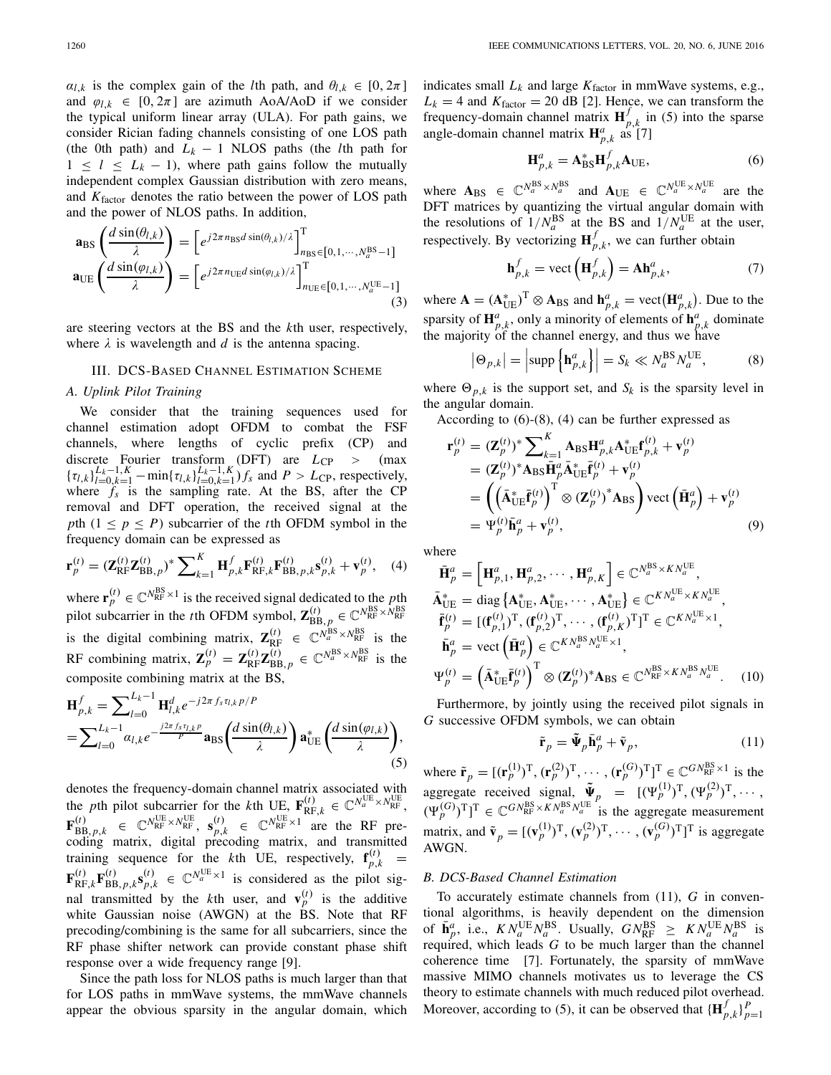$\alpha_{l,k}$  is the complex gain of the *l*th path, and  $\theta_{l,k} \in [0, 2\pi]$ and  $\varphi_{l,k} \in [0, 2\pi]$  are azimuth AoA/AoD if we consider the typical uniform linear array (ULA). For path gains, we consider Rician fading channels consisting of one LOS path (the 0th path) and  $L_k - 1$  NLOS paths (the *l*th path for  $1 \leq l \leq L_k - 1$ , where path gains follow the mutually independent complex Gaussian distribution with zero means, and *K*factor denotes the ratio between the power of LOS path and the power of NLOS paths. In addition,

$$
\mathbf{a}_{\text{BS}}\left(\frac{d\sin(\theta_{l,k})}{\lambda}\right) = \left[e^{j2\pi n_{\text{BS}}d\sin(\theta_{l,k})/\lambda}\right]_{n_{\text{BS}}\in[0,1,\cdots,N_a^{\text{BS}}-1]}^{\text{T}}\mathbf{a}_{\text{UE}}\left(\frac{d\sin(\varphi_{l,k})}{\lambda}\right) = \left[e^{j2\pi n_{\text{UE}}d\sin(\varphi_{l,k})/\lambda}\right]_{n_{\text{UE}}\in[0,1,\cdots,N_a^{\text{UE}}-1]}^{\text{T}}(3)
$$

are steering vectors at the BS and the *k*th user, respectively, where  $\lambda$  is wavelength and  $d$  is the antenna spacing.

## III. DCS-BASED CHANNEL ESTIMATION SCHEME

## *A. Uplink Pilot Training*

We consider that the training sequences used for channel estimation adopt OFDM to combat the FSF channels, where lengths of cyclic prefix (CP) and discrete Fourier transform (DFT) are  $L_{\text{CP}} > (\text{max})$  ${\{\tau_{l,k}\}}_{l=0,k=1}^{L_k-1,K}$  – min ${\{\tau_{l,k}\}}_{l=0,k=1}^{L_k-1,K}$  *fs* and *P* > *L*<sub>CP</sub>, respectively, where  $f_s$  is the sampling rate. At the BS, after the CP removal and DFT operation, the received signal at the *p*th ( $1 \leq p \leq P$ ) subcarrier of the *t*th OFDM symbol in the frequency domain can be expressed as

$$
\mathbf{r}_{p}^{(t)} = (\mathbf{Z}_{\text{RF}}^{(t)} \mathbf{Z}_{\text{BB},p}^{(t)})^* \sum\nolimits_{k=1}^{K} \mathbf{H}_{p,k}^{f} \mathbf{F}_{\text{RF},k}^{(t)} \mathbf{F}_{\text{BB},p,k}^{(t)} \mathbf{s}_{p,k}^{(t)} + \mathbf{v}_{p}^{(t)}, \quad (4)
$$

where  $\mathbf{r}_p^{(t)} \in \mathbb{C}^{N_{RF}^{BS} \times 1}$  is the received signal dedicated to the *p*th pilot subcarrier in the *t*th OFDM symbol,  $\mathbf{Z}_{\text{BB},p}^{(t)} \in \mathbb{C}^{N_{\text{RF}}^{\text{BS}} \times N_{\text{RF}}^{\text{BS}}}$ is the digital combining matrix,  $\mathbf{Z}_{RF}^{(t)} \in \mathbb{C}^{N_a^{BS} \times N_{RF}^{BS}}$  is the RF combining matrix,  $\mathbf{Z}_p^{(t)} = \mathbf{Z}_{\text{RF}}^{(t)} \mathbf{Z}_{\text{BB},p}^{(t)} \in \mathbb{C}^{N_a^{\text{BS}} \times N_{\text{RF}}^{\text{BS}}}$  is the composite combining matrix at the BS,

$$
\mathbf{H}_{p,k}^{f} = \sum_{l=0}^{L_{k}-1} \mathbf{H}_{l,k}^{d} e^{-j2\pi f_{s}\tau_{l,k}p/P} \n= \sum_{l=0}^{L_{k}-1} \alpha_{l,k} e^{-\frac{j2\pi f_{s}\tau_{l,k}p}{p}} \mathbf{a}_{\text{BS}}\left(\frac{d \sin(\theta_{l,k})}{\lambda}\right) \mathbf{a}_{\text{UE}}^{*}\left(\frac{d \sin(\varphi_{l,k})}{\lambda}\right),
$$
\n(5)

denotes the frequency-domain channel matrix associated with the *p*th pilot subcarrier for the *k*th UE,  $\mathbf{F}_{RF,k}^{(t)} \in \mathbb{C}^{N_a^{UE} \times N_{RF}^{UE}}$ ,  $\mathbf{F}_{\text{BB},p,k}^{(t)} \in \mathbb{C}^{N_{\text{RF}}^{\text{UE}} \times N_{\text{RF}}^{\text{UE}}}, \ \mathbf{s}_{p,k}^{(t)} \in \mathbb{C}^{N_{\text{RF}}^{\text{UE}} \times 1}$  are the RF precoding matrix, digital precoding matrix, and transmitted training sequence for the *k*th UE, respectively,  $f_{p,k}^{(t)}$  =  $\mathbf{F}_{\text{RF},k}^{(t)}\mathbf{F}_{\text{BB},p,k}^{(t)}\mathbf{s}_{p,k}^{(t)} \in \mathbb{C}^{N_a^{\text{UE}} \times 1}$  is considered as the pilot signal transmitted by the *k*th user, and  $\mathbf{v}_p^{(t)}$  is the additive white Gaussian noise (AWGN) at the BS. Note that RF precoding/combining is the same for all subcarriers, since the RF phase shifter network can provide constant phase shift response over a wide frequency range [9].

Since the path loss for NLOS paths is much larger than that for LOS paths in mmWave systems, the mmWave channels appear the obvious sparsity in the angular domain, which indicates small  $L_k$  and large  $K_{\text{factor}}$  in mmWave systems, e.g.,  $L_k = 4$  and  $K_{\text{factor}} = 20$  dB [2]. Hence, we can transform the frequency-domain channel matrix  $\mathbf{H}_{p,k}^f$  in (5) into the sparse angle-domain channel matrix  $\mathbf{H}^a_{p,k}$  as [7]

$$
\mathbf{H}_{p,k}^a = \mathbf{A}_{\mathrm{BS}}^* \mathbf{H}_{p,k}^f \mathbf{A}_{\mathrm{UE}},\tag{6}
$$

where  $A_{BS} \in \mathbb{C}^{N_a^{BS} \times N_a^{BS}}$  and  $A_{UE} \in \mathbb{C}^{N_a^{UE} \times N_a^{UE}}$  are the DFT matrices by quantizing the virtual angular domain with the resolutions of  $1/N_a^{BS}$  at the BS and  $1/N_a^{UE}$  at the user, respectively. By vectorizing  $\mathbf{H}_{p,k}^f$ , we can further obtain

$$
\mathbf{h}_{p,k}^{f} = \text{vect}\left(\mathbf{H}_{p,k}^{f}\right) = \mathbf{A}\mathbf{h}_{p,k}^{a},\tag{7}
$$

where  $\mathbf{A} = (\mathbf{A}_{\text{UE}}^*)^{\text{T}} \otimes \mathbf{A}_{\text{BS}}$  and  $\mathbf{h}_{p,k}^a = \text{vect}(\mathbf{H}_{p,k}^a)$ . Due to the sparsity of  $\mathbf{H}^a_{p,k}$ , only a minority of elements of  $\mathbf{h}^a_{p,k}$  dominate the majority of the channel energy, and thus we have

$$
\left| \Theta_{p,k} \right| = \left| \text{supp} \left\{ \mathbf{h}_{p,k}^a \right\} \right| = S_k \ll N_a^{\text{BS}} N_a^{\text{UE}}, \tag{8}
$$

where  $\Theta_{p,k}$  is the support set, and  $S_k$  is the sparsity level in the angular domain.

According to (6)-(8), (4) can be further expressed as

$$
\mathbf{r}_{p}^{(t)} = (\mathbf{Z}_{p}^{(t)})^{*} \sum_{k=1}^{K} \mathbf{A}_{\text{BS}} \mathbf{H}_{p,k}^{a} \mathbf{A}_{\text{UE}}^{*} \mathbf{f}_{p,k}^{(t)} + \mathbf{v}_{p}^{(t)} \n= (\mathbf{Z}_{p}^{(t)})^{*} \mathbf{A}_{\text{BS}} \bar{\mathbf{H}}_{p}^{a} \bar{\mathbf{A}}_{\text{UE}}^{*} \bar{\mathbf{f}}_{p}^{(t)} + \mathbf{v}_{p}^{(t)} \n= \left( \left( \bar{\mathbf{A}}_{\text{UE}}^{*} \bar{\mathbf{f}}_{p}^{(t)} \right)^{\text{T}} \otimes (\mathbf{Z}_{p}^{(t)})^{*} \mathbf{A}_{\text{BS}} \right) \text{vect} \left( \bar{\mathbf{H}}_{p}^{a} \right) + \mathbf{v}_{p}^{(t)} \n= \Psi_{p}^{(t)} \bar{\mathbf{h}}_{p}^{a} + \mathbf{v}_{p}^{(t)},
$$
\n(9)

where

$$
\bar{\mathbf{H}}_{p}^{a} = \left[\mathbf{H}_{p,1}^{a}, \mathbf{H}_{p,2}^{a}, \cdots, \mathbf{H}_{p,K}^{a}\right] \in \mathbb{C}^{N_{a}^{\text{BS}} \times KN_{a}^{\text{UE}}},
$$
\n
$$
\bar{\mathbf{A}}_{\text{UE}}^{*} = \text{diag}\left\{\mathbf{A}_{\text{UE}}^{*}, \mathbf{A}_{\text{UE}}^{*}, \cdots, \mathbf{A}_{\text{UE}}^{*}\right\} \in \mathbb{C}^{KN_{a}^{\text{UE}} \times KN_{a}^{\text{UE}}},
$$
\n
$$
\bar{\mathbf{f}}_{p}^{(t)} = \left[(\mathbf{f}_{p,1}^{(t)})^{\text{T}}, (\mathbf{f}_{p,2}^{(t)})^{\text{T}}, \cdots, (\mathbf{f}_{p,K}^{(t)})^{\text{T}}\right]^{\text{T}} \in \mathbb{C}^{KN_{a}^{\text{UE}} \times 1},
$$
\n
$$
\bar{\mathbf{h}}_{p}^{a} = \text{vect}\left(\bar{\mathbf{H}}_{p}^{a}\right) \in \mathbb{C}^{KN_{a}^{\text{BS}}N_{a}^{\text{UE}} \times 1},
$$
\n
$$
\Psi_{p}^{(t)} = \left(\bar{\mathbf{A}}_{\text{UE}}^{*} \bar{\mathbf{f}}_{p}^{(t)}\right)^{\text{T}} \otimes (\mathbf{Z}_{p}^{(t)})^{*} \mathbf{A}_{\text{BS}} \in \mathbb{C}^{N_{\text{RF}}^{\text{BS}} \times KN_{a}^{\text{BS}}N_{a}^{\text{UE}}}.
$$
\n(10)

Furthermore, by jointly using the received pilot signals in *G* successive OFDM symbols, we can obtain

$$
\tilde{\mathbf{r}}_p = \tilde{\mathbf{\Psi}}_p \bar{\mathbf{h}}_p^a + \tilde{\mathbf{v}}_p, \tag{11}
$$

where  $\tilde{\mathbf{r}}_p = [(\mathbf{r}_p^{(1)})^T, (\mathbf{r}_p^{(2)})^T, \cdots, (\mathbf{r}_p^{(G)})^T]^T \in \mathbb{C}^{GN_{RF}^{BS} \times 1}$  is the aggregate received signal,  $\tilde{\Psi}_p = [(\Psi_p^{(1)})^T, (\Psi_p^{(2)})^T, \cdots,$  $(\Psi_p^{(G)})^{\mathrm{T}}]^{T} \in \mathbb{C}^{GN_{\mathrm{RF}}^{\mathrm{BS}} \times KN_{a}^{\mathrm{BS}} N_{a}^{\mathrm{UE}}}$  is the aggregate measurement matrix, and  $\tilde{\mathbf{v}}_p = [(\mathbf{v}_p^{(1)})^T, (\mathbf{v}_p^{(2)})^T, \cdots, (\mathbf{v}_p^{(G)})^T]^T$  is aggregate AWGN.

## *B. DCS-Based Channel Estimation*

To accurately estimate channels from (11), *G* in conventional algorithms, is heavily dependent on the dimension of  $\bar{\mathbf{h}}_p^a$ , i.e.,  $KN_a^{\text{UE}}N_a^{\text{BS}}$ . Usually,  $GN_{\text{RF}}^{\text{BS}} \geq KN_a^{\text{UE}}N_a^{\text{BS}}$  is required, which leads  $G$  to be much larger than the channel coherence time [7]. Fortunately, the sparsity of mmWave massive MIMO channels motivates us to leverage the CS theory to estimate channels with much reduced pilot overhead. Moreover, according to (5), it can be observed that  ${\{\mathbf{H}_{p,k}^f\}}_{p=1}^P$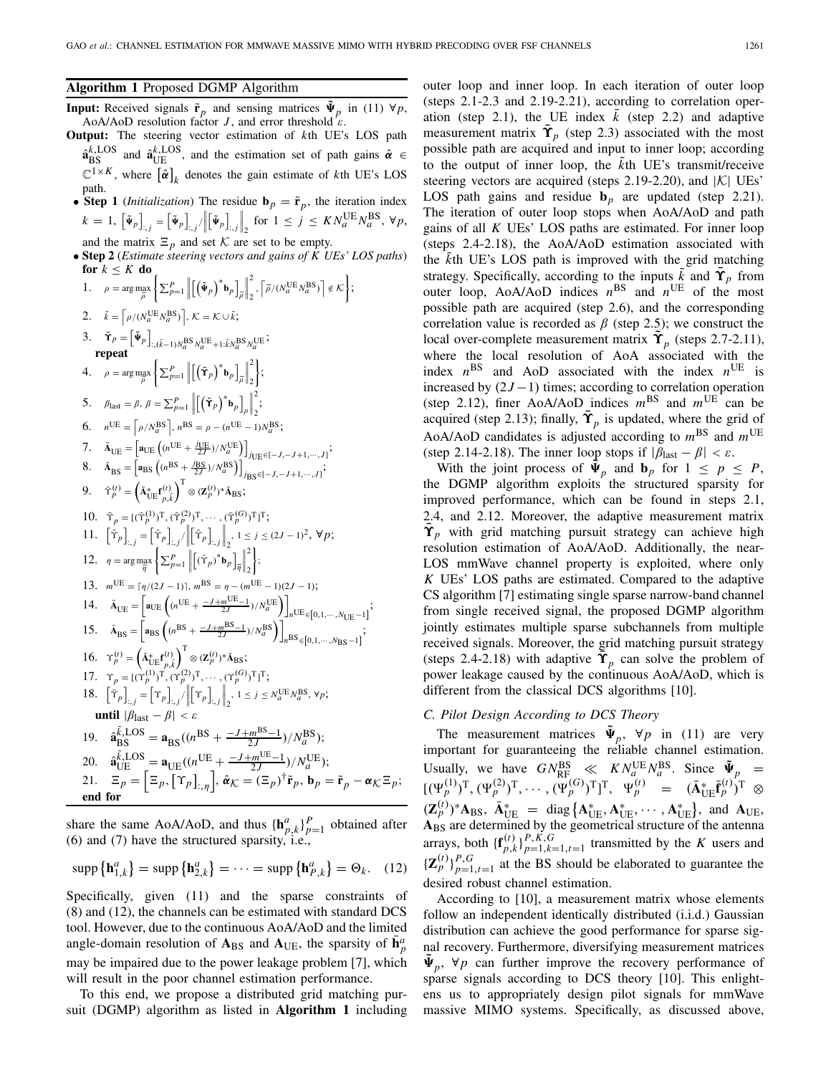**Algorithm 1** Proposed DGMP Algorithm

- **Input:** Received signals  $\tilde{\mathbf{r}}_p$  and sensing matrices  $\tilde{\mathbf{\Psi}}_p$  in (11)  $\forall p$ , AoA/AoD resolution factor *J*, and error threshold  $\epsilon$ .
- **Output:** The steering vector estimation of *k*th UE's LOS path  $\hat{\mathbf{a}}_{\text{BS}}^{k,\text{LOS}}$  and  $\hat{\mathbf{a}}_{\text{UE}}^{k,\text{LOS}}$ , and the estimation set of path gains  $\hat{\boldsymbol{\alpha}} \in$  $\mathbb{C}^{1\times K}$ , where  $[\hat{\boldsymbol{\alpha}}]_k$  denotes the gain estimate of *k*th UE's LOS path.
- **Step 1** (*Initialization*) The residue  $\mathbf{b}_p = \tilde{\mathbf{r}}_p$ , the iteration index  $k = 1, \left[ \tilde{\Psi}_p \right]_{:,j} = \left[ \tilde{\Psi}_p \right]_{:,j} / \sqrt{\frac{2}{n}}$  $\left[\tilde{\Psi}_p\right]_{:,j}$  $\int_2$  for  $1 \le j \le KN_a^{\text{UE}}N_a^{\text{BS}}, \forall p$ ,
- and the matrix  $\Xi_p$  and set *K* are set to be empty.<br>• **Step 2** (*Estimate steering vectors and gains of K UEs' LOS paths*) **for**  $k \leq K$  **do**
- 1.  $\rho = \arg \max_{\widetilde{\rho}} \left\{ \sum_{p=1}^{P} \left\| \left[ \left( \widetilde{\Psi}_p \right)^* \mathbf{b}_p \right]_{\widetilde{\rho}} \right\|$  $\begin{array}{c} \hline \end{array}$ 2  $\left\{ \frac{2}{2}, \left\lceil \tilde{\rho}/(N_a^{\text{UE}} N_a^{\text{BS}}) \right\rceil \notin \mathcal{K} \right\};$ 2.  $\tilde{k} = \left[ \rho / (N_a^{\text{UE}} N_a^{\text{BS}}) \right], \mathcal{K} = \mathcal{K} \cup \tilde{k};$ 3.  $\bar{\mathbf{\Upsilon}}_p = \left[ \tilde{\Psi}_p \right]_{:, (\tilde{k}-1)N_a^{\text{BS}} N_a^{\text{UE}} + 1: \tilde{k} N_a^{\text{BS}} N_a^{\text{UE}}};$ **repeat** 4.  $\rho = \arg \max_{\widetilde{\rho}} \left\{ \sum_{p=1}^{P} \left\| \left[ \left( \widetilde{\mathbf{T}}_{p} \right)^{*} \mathbf{b}_{p} \right]_{\widetilde{\rho}} \right\|$  $\begin{array}{c} \begin{array}{c} \begin{array}{c} \end{array}\\ \begin{array}{c} \end{array} \end{array} \end{array}$ 2 2  $\}$ 5.  $\beta_{\text{last}} = \beta$ ,  $\beta = \sum_{p=1}^{P} \left\| \left[ \left( \bar{\mathbf{T}}_p \right)^* \mathbf{b}_p \right]_{\rho} \right\|$  $\|\mathbf{L}\|$  $\frac{1}{2}$ 2  $\frac{1}{2}$ 6.  $n^{\text{UE}} = \left[ \rho / N_a^{\text{BS}} \right], n^{\text{BS}} = \rho - (n^{\text{UE}} - 1) N_a^{\text{BS}};$ 7.  $\tilde{A}_{UE} = \left[ a_{UE} \left( (n^{UE} + \frac{j_{UE}}{2J})/N_a^{UE} \right) \right]_{JUE} \in [-J, -J+1, ..., J];$ 8.  $\tilde{A}_{BS} = \left[ a_{BS} \left( (n^{BS} + \frac{j_{BS}}{2J})/N_a^{BS} \right) \right]_{j_{BS} \in [-J, -J+1, \dots, J]}$ ; 9.  $\tilde{\Upsilon}_p^{(t)} = \left(\tilde{\mathbf{A}}_{\text{UE}}^* \mathbf{f}_{p,\tilde{k}}^{(t)}\right)$  $\int_0^T \otimes (\mathbf{Z}_p^{(t)})^* \tilde{\mathbf{A}}_{\text{BS}};$ 10.  $\tilde{\Upsilon}_p = [(\tilde{\Upsilon}_p^{(1)})^T, (\tilde{\Upsilon}_p^{(2)})^T, \cdots, (\tilde{\Upsilon}_p^{(G)})^T]^T;$ 11.  $\left[\tilde{\Upsilon}_p\right]_{:,j} = \left[\tilde{\Upsilon}_p\right]_{:,j}/\left\|\left[\tilde{\Upsilon}_p\right]_{:,j}\right\|$  $|| - 1.3.7 ||$  $\bigg\|_2$ , 1 ≤ *j* ≤ (2*J* − 1)<sup>2</sup>, ∀*p*; 12.  $\eta = \arg \max_{\widetilde{\eta}}$  $\left\{ \sum_{p=1}^{P} \right\}$  $[(\tilde{\Upsilon}_p)^* \mathbf{b}_p]_{\tilde{\eta}}$  $\begin{array}{c} \hline \end{array}$ 2 2 ; 13.  $m^{\text{UE}} = \lceil \eta/(2J - 1) \rceil$ ,  $m^{\text{BS}} = \eta - (m^{\text{UE}} - 1)(2J - 1)$ ; 14.  $\tilde{A}_{UE} = \left[ a_{UE} \left( (n^{UE} + \frac{-J+m^{UE}-1}{2J})/N_a^{UE} \right) \right]$ *n*<sup>UE</sup>∈[0,1,…,*N*<sub>UE</sub>−1]<sup>;</sup> 15.  $\tilde{A}_{BS} = \left[ a_{BS} \left( (n^{BS} + \frac{-J + m^{BS} - 1}{2J}) / N_a^{BS} \right) \right]$ *n*BS∈[0,1,…,*N*<sub>BS</sub>−1]<sup>;</sup> 16.  $\Upsilon_p^{(t)} = \left(\tilde{\mathbf{A}}_{\text{UE}}^* \mathbf{f}_{p,\tilde{k}}^{(t)}\right)$  $\bigg\}^{\mathrm{T}} \otimes (\mathbf{Z}_{p}^{(t)})^* \tilde{\mathbf{A}}_{\mathrm{BS}};$ 17.  $\Upsilon_p = [(\Upsilon_p^{(1)})^T, (\Upsilon_p^{(2)})^T, \cdots, (\Upsilon_p^{(G)})^T]^T;$ 18.  $\left[\bar{\Upsilon}_p\right]_{:,j} = \left[\Upsilon_p\right]_{:,j}/\left\|\left[\Upsilon_p\right]\right\|_{:,j}$ **until**  $|\beta_{\text{last}} - \beta| < \varepsilon$  $\bigg\|_2$ ,  $1 \leq j \leq N_a^{\text{UE}} N_a^{\text{BS}}, \forall p;$ 19.  $\hat{\mathbf{a}}_{\text{BS}}^{\tilde{k},\text{LOS}} = \mathbf{a}_{\text{BS}}((n^{\text{BS}} + \frac{-J + m^{\text{BS}} - 1}{2J})/N_a^{\text{BS}});$ 20.  $\hat{\mathbf{a}}_{\text{UE}}^{\tilde{k},\text{LOS}} = \mathbf{a}_{\text{UE}}((n^{\text{UE}} + \frac{-J+m^{\text{UE}}-1}{2J})/N_a^{\text{UE}});$ 21.  $\mathbb{E}_p = \left[\mathbb{E}_p, \left[\Upsilon_p\right]_{:, \eta}\right], \hat{\boldsymbol{\alpha}}_{\mathcal{K}} = \left(\mathbb{E}_p\right)^{\dagger} \tilde{\mathbf{r}}_p, \mathbf{b}_p = \tilde{\mathbf{r}}_p - \boldsymbol{\alpha}_{\mathcal{K}} \mathbb{E}_p;$ **end for**

share the same AoA/AoD, and thus  ${\{\bf h}_{p,k}^a\}_{p=1}^P$  obtained after (6) and (7) have the structured sparsity, i.e.,

$$
\operatorname{supp}\left\{\mathbf{h}_{1,k}^{a}\right\} = \operatorname{supp}\left\{\mathbf{h}_{2,k}^{a}\right\} = \cdots = \operatorname{supp}\left\{\mathbf{h}_{P,k}^{a}\right\} = \Theta_{k}.\quad(12)
$$

Specifically, given (11) and the sparse constraints of (8) and (12), the channels can be estimated with standard DCS tool. However, due to the continuous AoA/AoD and the limited angle-domain resolution of  $A_{BS}$  and  $A_{UE}$ , the sparsity of  $\bar{h}_p^a$ may be impaired due to the power leakage problem [7], which will result in the poor channel estimation performance.

To this end, we propose a distributed grid matching pursuit (DGMP) algorithm as listed in **Algorithm 1** including outer loop and inner loop. In each iteration of outer loop (steps 2.1-2.3 and 2.19-2.21), according to correlation operation (step 2.1), the UE index  $k$  (step 2.2) and adaptive measurement matrix  $\tilde{\Upsilon}_p$  (step 2.3) associated with the most possible path are acquired and input to inner loop; according to the output of inner loop, the  $\vec{k}$ th UE's transmit/receive steering vectors are acquired (steps 2.19-2.20), and |*K*| UEs' LOS path gains and residue  **are updated (step 2.21).** The iteration of outer loop stops when AoA/AoD and path gains of all *K* UEs' LOS paths are estimated. For inner loop (steps 2.4-2.18), the AoA/AoD estimation associated with the *k*th UE's LOS path is improved with the grid matching strategy. Specifically, according to the inputs  $\tilde{k}$  and  $\tilde{\Upsilon}_p$  from outer loop, AoA/AoD indices  $n^{BS}$  and  $n^{UE}$  of the most possible path are acquired (step 2.6), and the corresponding correlation value is recorded as  $\beta$  (step 2.5); we construct the local over-complete measurement matrix  $\Upsilon$ <sup>*ρ*</sup> (steps 2.7-2.11), where the local resolution of AoA associated with the index  $n^{BS}$  and AoD associated with the index  $n^{UE}$  is increased by (2*J* −1) times; according to correlation operation (step 2.12), finer AoA/AoD indices  $m<sup>BS</sup>$  and  $m<sup>UE</sup>$  can be acquired (step 2.13); finally,  $\tilde{\Upsilon}_p$  is updated, where the grid of AoA/AoD candidates is adjusted according to  $m<sup>BS</sup>$  and  $m<sup>UE</sup>$ (step 2.14-2.18). The inner loop stops if  $|\beta_{\text{last}} - \beta| < \varepsilon$ .

With the joint process of  $\tilde{\Psi}_p$  and  $\mathbf{b}_p$  for  $1 \leq p \leq P$ , the DGMP algorithm exploits the structured sparsity for improved performance, which can be found in steps 2.1, 2.4, and 2.12. Moreover, the adaptive measurement matrix  **with grid matching pursuit strategy can achieve high** resolution estimation of AoA/AoD. Additionally, the near-LOS mmWave channel property is exploited, where only *K* UEs' LOS paths are estimated. Compared to the adaptive CS algorithm [7] estimating single sparse narrow-band channel from single received signal, the proposed DGMP algorithm jointly estimates multiple sparse subchannels from multiple received signals. Moreover, the grid matching pursuit strategy (steps 2.4-2.18) with adaptive  $\tilde{\Upsilon}_p$  can solve the problem of power leakage caused by the continuous AoA/AoD, which is different from the classical DCS algorithms [10].

## *C. Pilot Design According to DCS Theory*

The measurement matrices  $\Psi_p$ ,  $\Psi_p$  in (11) are very important for guaranteeing the reliable channel estimation. Usually, we have  $GN_{RF}^{BS} \ll KN_a^{UE}N_a^{BS}$ . Since  $\tilde{\Psi}_p$  =  $[(\Psi_p^{(1)})^{\text{T}}, (\Psi_p^{(2)})^{\text{T}}, \cdots, (\Psi_p^{(G)})^{\text{T}}]^{\text{T}}, \Psi_p^{(t)} = (\tilde{\mathbf{A}}_{\text{UE}}^*\tilde{\mathbf{f}}_p^{(t)})^{\text{T}} \otimes$  $(\mathbf{Z}_{p}^{(t)})^* \mathbf{A}_{\text{BS}}, \ \bar{\mathbf{A}}_{\text{UE}}^* = \text{diag} \{ \mathbf{A}_{\text{UE}}^*, \mathbf{A}_{\text{UE}}^*, \cdots, \mathbf{A}_{\text{UE}}^* \}, \ \text{and} \ \mathbf{A}_{\text{UE}},$ **A**BS are determined by the geometrical structure of the antenna arrays, both  ${\{\mathbf{f}_{p,k}^{(t)}\}}_{p=1,k=1,t=1}^{P,K,G}$  transmitted by the *K* users and  ${\bf Z}_{p}^{(t)}\big|_{p=1,t=1}^{P,G}$  at the BS should be elaborated to guarantee the desired robust channel estimation.

According to [10], a measurement matrix whose elements follow an independent identically distributed (i.i.d.) Gaussian distribution can achieve the good performance for sparse signal recovery. Furthermore, diversifying measurement matrices  $\Psi_p$ ,  $\forall p$  can further improve the recovery performance of sparse signals according to DCS theory [10]. This enlightens us to appropriately design pilot signals for mmWave massive MIMO systems. Specifically, as discussed above,